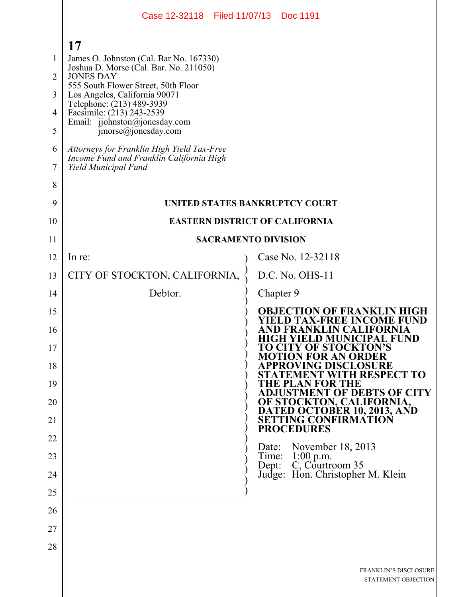|                | Case 12-32118 Filed 11/07/13 Doc 1191                                                                          |                                                                                     |  |
|----------------|----------------------------------------------------------------------------------------------------------------|-------------------------------------------------------------------------------------|--|
|                | 17                                                                                                             |                                                                                     |  |
| 1              | James O. Johnston (Cal. Bar No. 167330)                                                                        |                                                                                     |  |
| $\overline{2}$ | Joshua D. Morse (Cal. Bar. No. 211050)<br><b>JONES DAY</b>                                                     |                                                                                     |  |
| 3              | 555 South Flower Street, 50th Floor<br>Los Angeles, California 90071                                           |                                                                                     |  |
| 4              | Telephone: (213) 489-3939<br>Facsimile: (213) 243-2539                                                         |                                                                                     |  |
| 5              | Email: jjohnston@jonesday.com<br>$\text{imorse}(a)$ jonesday.com                                               |                                                                                     |  |
| 6<br>7         | Attorneys for Franklin High Yield Tax-Free<br>Income Fund and Franklin California High<br>Yield Municipal Fund |                                                                                     |  |
| 8              |                                                                                                                |                                                                                     |  |
| 9              |                                                                                                                | <b>UNITED STATES BANKRUPTCY COURT</b>                                               |  |
| 10             | <b>EASTERN DISTRICT OF CALIFORNIA</b>                                                                          |                                                                                     |  |
| 11             | <b>SACRAMENTO DIVISION</b>                                                                                     |                                                                                     |  |
| 12             | In re:                                                                                                         | Case No. 12-32118                                                                   |  |
| 13             | CITY OF STOCKTON, CALIFORNIA,                                                                                  | D.C. No. OHS-11                                                                     |  |
| 14             | Debtor.                                                                                                        | Chapter 9                                                                           |  |
| 15             |                                                                                                                | <b>OBJECTION OF FRANKLIN HIG</b><br>X-FREE INCOME FUND                              |  |
| 16<br>17       |                                                                                                                | FRANKLIN CALIFORNIA<br><b>HIGH YIELD MUNICIPAL FUND</b><br>TO CITY OF STOCKTON'S    |  |
| 18             |                                                                                                                | <b>MOTION FOR AN ORDER</b><br>PPROVING DISCLOSURE<br><b>ATEMENT WITH RESPECT TO</b> |  |
| 19             |                                                                                                                | THE PLAN FOR THE<br><b>ADJUSTMENT OF DEBTS OF CITY</b>                              |  |
| 20<br>21       |                                                                                                                | OF STOCKTON, CALIFORNIA,<br>DATED OCTOBER 10, 2013, AND<br>SETTING CONFIRMATION     |  |
| 22             |                                                                                                                | <b>PROCEDURES</b>                                                                   |  |
| 23             |                                                                                                                | November $18, 2013$<br>Date:                                                        |  |
| 24             |                                                                                                                | Time: 1:00 p.m.<br>Dept: C, Courtroom 35<br>Judge: Hon. Christopher M. Klein        |  |
| 25             |                                                                                                                |                                                                                     |  |
| 26             |                                                                                                                |                                                                                     |  |
| 27             |                                                                                                                |                                                                                     |  |
| 28             |                                                                                                                |                                                                                     |  |
|                |                                                                                                                | <b>FRANKLIN'S DISCLOSURE</b><br>STATEMENT OBJECTION                                 |  |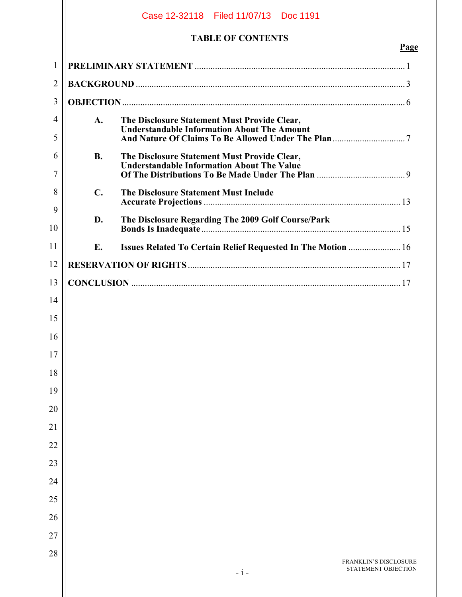|                |                | Case 12-32118 Filed 11/07/13 Doc 1191                                                             |                                              |
|----------------|----------------|---------------------------------------------------------------------------------------------------|----------------------------------------------|
|                |                | <b>TABLE OF CONTENTS</b>                                                                          | Page                                         |
| $\mathbf{1}$   |                |                                                                                                   |                                              |
| $\overline{2}$ |                |                                                                                                   |                                              |
| 3              |                |                                                                                                   |                                              |
| 4              | A.             | The Disclosure Statement Must Provide Clear,                                                      |                                              |
| 5              |                | <b>Understandable Information About The Amount</b>                                                |                                              |
| 6<br>7         | <b>B.</b>      | The Disclosure Statement Must Provide Clear,<br><b>Understandable Information About The Value</b> |                                              |
| 8              | $\mathbf{C}$ . | The Disclosure Statement Must Include                                                             |                                              |
| 9<br>10        | D.             | The Disclosure Regarding The 2009 Golf Course/Park                                                |                                              |
| 11             | Е.             | Issues Related To Certain Relief Requested In The Motion  16                                      |                                              |
| 12             |                |                                                                                                   |                                              |
| 13             |                |                                                                                                   |                                              |
| 14             |                |                                                                                                   |                                              |
| 15             |                |                                                                                                   |                                              |
| 16             |                |                                                                                                   |                                              |
| 17             |                |                                                                                                   |                                              |
| 18             |                |                                                                                                   |                                              |
| 19             |                |                                                                                                   |                                              |
| 20             |                |                                                                                                   |                                              |
| 21             |                |                                                                                                   |                                              |
| 22             |                |                                                                                                   |                                              |
| 23             |                |                                                                                                   |                                              |
| 24             |                |                                                                                                   |                                              |
| 25             |                |                                                                                                   |                                              |
| 26             |                |                                                                                                   |                                              |
| 27             |                |                                                                                                   |                                              |
| 28             |                | $-i-$                                                                                             | FRANKLIN'S DISCLOSURE<br>STATEMENT OBJECTION |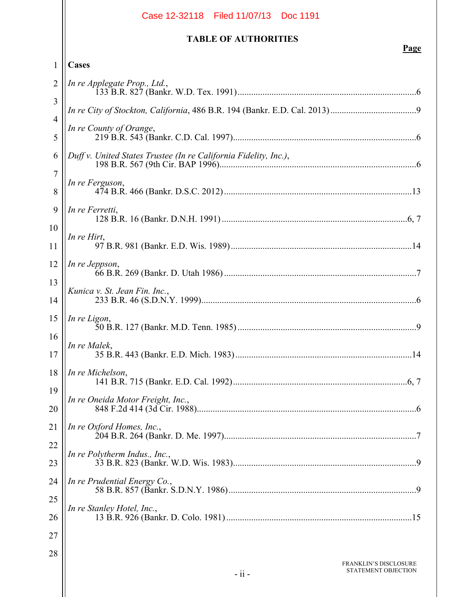|                | Case 12-32118   Filed 11/07/13   Doc 1191                        |
|----------------|------------------------------------------------------------------|
|                | <b>TABLE OF AUTHORITIES</b><br>Page                              |
| 1              | Cases                                                            |
| 2              | In re Applegate Prop., Ltd.,                                     |
| 3              |                                                                  |
| $\overline{4}$ |                                                                  |
| 5              | In re County of Orange,                                          |
| 6              | Duff v. United States Trustee (In re California Fidelity, Inc.), |
| 7<br>8         | In re Ferguson,                                                  |
| 9              | In re Ferretti,                                                  |
| 10<br>11       | In re Hirt,                                                      |
| 12<br>13       | In re Jeppson,                                                   |
| 14             | Kunica v. St. Jean Fin. Inc.,                                    |
| 15<br>16       | In re Ligon,                                                     |
| 17             | In re Malek,                                                     |
| 18<br>19       | In re Michelson,                                                 |
| 20             | In re Oneida Motor Freight, Inc.,                                |
| 21             | In re Oxford Homes, Inc.,                                        |
| 22<br>23       | In re Polytherm Indus., Inc.,                                    |
| 24             | In re Prudential Energy Co.,                                     |
| 25<br>26       | In re Stanley Hotel, Inc.,                                       |
| 27             |                                                                  |
| 28             | <b>FRANKLIN'S DISCLOSURE</b>                                     |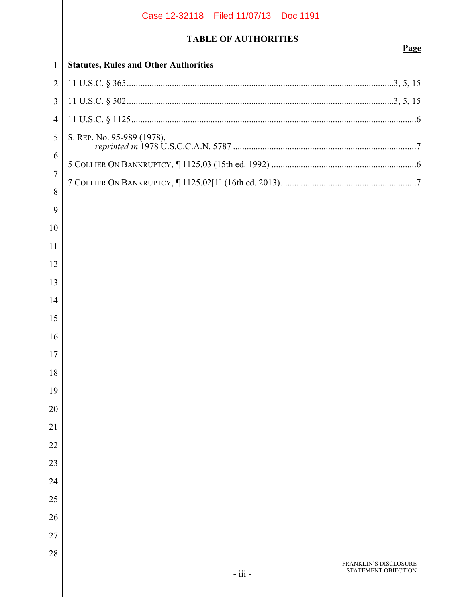# FRANKLIN'S DISCLOSURE **TABLE OF AUTHORITIES Page Statutes, Rules and Other Authorities**  11 U.S.C. § 365 ......................................................................................................................3, 5, 15 11 U.S.C. § 502 ......................................................................................................................3, 5, 15 11 U.S.C. § 1125 ..............................................................................................................................6 S. REP. No. 95-989 (1978), *reprinted in* 1978 U.S.C.C.A.N. 5787 .................................................................................7 5 COLLIER ON BANKRUPTCY, ¶ 1125.03 (15th ed. 1992) ................................................................6 7 COLLIER ON BANKRUPTCY, ¶ 1125.02[1] (16th ed. 2013) ............................................................7 Case 12-32118 Filed 11/07/13 Doc 1191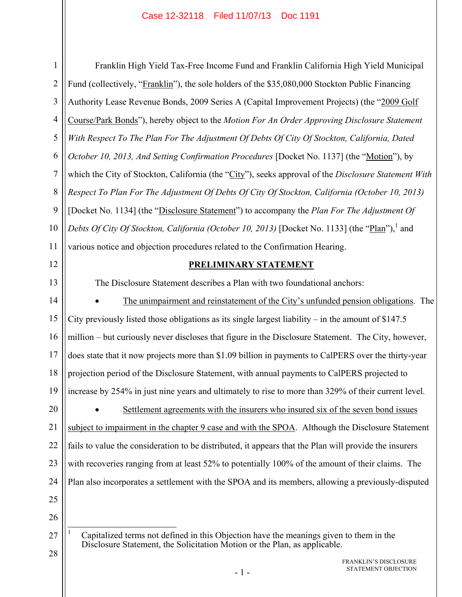1

Franklin High Yield Tax-Free Income Fund and Franklin California High Yield Municipal Fund (collectively, "Franklin"), the sole holders of the \$35,080,000 Stockton Public Financing Authority Lease Revenue Bonds, 2009 Series A (Capital Improvement Projects) (the "2009 Golf Course/Park Bonds"), hereby object to the *Motion For An Order Approving Disclosure Statement With Respect To The Plan For The Adjustment Of Debts Of City Of Stockton, California, Dated October 10, 2013, And Setting Confirmation Procedures* [Docket No. 1137] (the "Motion"), by which the City of Stockton, California (the "City"), seeks approval of the *Disclosure Statement With Respect To Plan For The Adjustment Of Debts Of City Of Stockton, California (October 10, 2013)* [Docket No. 1134] (the "Disclosure Statement") to accompany the *Plan For The Adjustment Of*  Debts Of City Of Stockton, California (October 10, 2013) [Docket No. 1133] (the "Plan"),<sup>1</sup> and various notice and objection procedures related to the Confirmation Hearing. **PRELIMINARY STATEMENT** The Disclosure Statement describes a Plan with two foundational anchors: The unimpairment and reinstatement of the City's unfunded pension obligations. The City previously listed those obligations as its single largest liability – in the amount of \$147.5 million – but curiously never discloses that figure in the Disclosure Statement. The City, however,

does state that it now projects more than \$1.09 billion in payments to CalPERS over the thirty-year projection period of the Disclosure Statement, with annual payments to CalPERS projected to

increase by 254% in just nine years and ultimately to rise to more than 329% of their current level.

 Settlement agreements with the insurers who insured six of the seven bond issues subject to impairment in the chapter 9 case and with the SPOA. Although the Disclosure Statement fails to value the consideration to be distributed, it appears that the Plan will provide the insurers with recoveries ranging from at least 52% to potentially 100% of the amount of their claims. The Plan also incorporates a settlement with the SPOA and its members, allowing a previously-disputed

 $\overline{a}$ 1 Capitalized terms not defined in this Objection have the meanings given to them in the Disclosure Statement, the Solicitation Motion or the Plan, as applicable.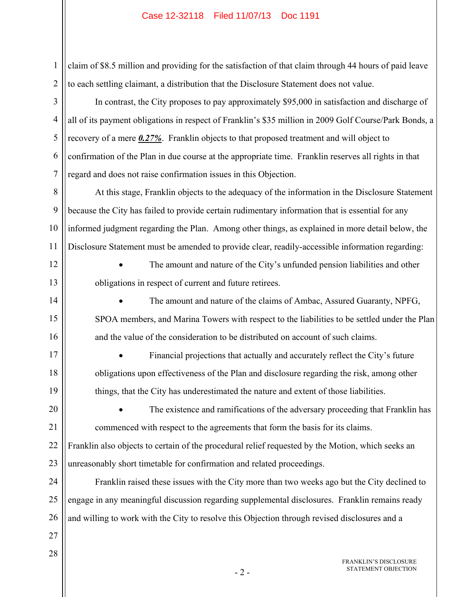claim of \$8.5 million and providing for the satisfaction of that claim through 44 hours of paid leave to each settling claimant, a distribution that the Disclosure Statement does not value.

In contrast, the City proposes to pay approximately \$95,000 in satisfaction and discharge of all of its payment obligations in respect of Franklin's \$35 million in 2009 Golf Course/Park Bonds, a recovery of a mere *0.27%*. Franklin objects to that proposed treatment and will object to confirmation of the Plan in due course at the appropriate time. Franklin reserves all rights in that regard and does not raise confirmation issues in this Objection.

8 9 10 11 At this stage, Franklin objects to the adequacy of the information in the Disclosure Statement because the City has failed to provide certain rudimentary information that is essential for any informed judgment regarding the Plan. Among other things, as explained in more detail below, the Disclosure Statement must be amended to provide clear, readily-accessible information regarding:

12

13

14

15

16

17

18

19

1

2

3

4

5

6

7

 The amount and nature of the City's unfunded pension liabilities and other obligations in respect of current and future retirees.

 The amount and nature of the claims of Ambac, Assured Guaranty, NPFG, SPOA members, and Marina Towers with respect to the liabilities to be settled under the Plan and the value of the consideration to be distributed on account of such claims.

 Financial projections that actually and accurately reflect the City's future obligations upon effectiveness of the Plan and disclosure regarding the risk, among other things, that the City has underestimated the nature and extent of those liabilities.

20

21

 The existence and ramifications of the adversary proceeding that Franklin has commenced with respect to the agreements that form the basis for its claims.

22 23 Franklin also objects to certain of the procedural relief requested by the Motion, which seeks an unreasonably short timetable for confirmation and related proceedings.

24 25 26 Franklin raised these issues with the City more than two weeks ago but the City declined to engage in any meaningful discussion regarding supplemental disclosures. Franklin remains ready and willing to work with the City to resolve this Objection through revised disclosures and a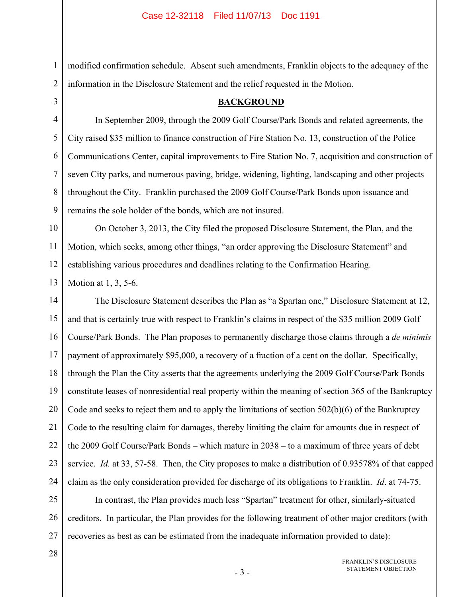modified confirmation schedule. Absent such amendments, Franklin objects to the adequacy of the information in the Disclosure Statement and the relief requested in the Motion.

**BACKGROUND**

3

4

5

6

7

8

9

1

2

In September 2009, through the 2009 Golf Course/Park Bonds and related agreements, the City raised \$35 million to finance construction of Fire Station No. 13, construction of the Police Communications Center, capital improvements to Fire Station No. 7, acquisition and construction of seven City parks, and numerous paving, bridge, widening, lighting, landscaping and other projects throughout the City. Franklin purchased the 2009 Golf Course/Park Bonds upon issuance and remains the sole holder of the bonds, which are not insured.

10 11 12 On October 3, 2013, the City filed the proposed Disclosure Statement, the Plan, and the Motion, which seeks, among other things, "an order approving the Disclosure Statement" and establishing various procedures and deadlines relating to the Confirmation Hearing.

13 Motion at 1, 3, 5-6.

14 15 16 17 18 19 20 21 22 23 24 The Disclosure Statement describes the Plan as "a Spartan one," Disclosure Statement at 12, and that is certainly true with respect to Franklin's claims in respect of the \$35 million 2009 Golf Course/Park Bonds. The Plan proposes to permanently discharge those claims through a *de minimis* payment of approximately \$95,000, a recovery of a fraction of a cent on the dollar. Specifically, through the Plan the City asserts that the agreements underlying the 2009 Golf Course/Park Bonds constitute leases of nonresidential real property within the meaning of section 365 of the Bankruptcy Code and seeks to reject them and to apply the limitations of section 502(b)(6) of the Bankruptcy Code to the resulting claim for damages, thereby limiting the claim for amounts due in respect of the 2009 Golf Course/Park Bonds – which mature in 2038 – to a maximum of three years of debt service. *Id.* at 33, 57-58. Then, the City proposes to make a distribution of 0.93578% of that capped claim as the only consideration provided for discharge of its obligations to Franklin. *Id*. at 74-75.

25 26 27 In contrast, the Plan provides much less "Spartan" treatment for other, similarly-situated creditors. In particular, the Plan provides for the following treatment of other major creditors (with recoveries as best as can be estimated from the inadequate information provided to date):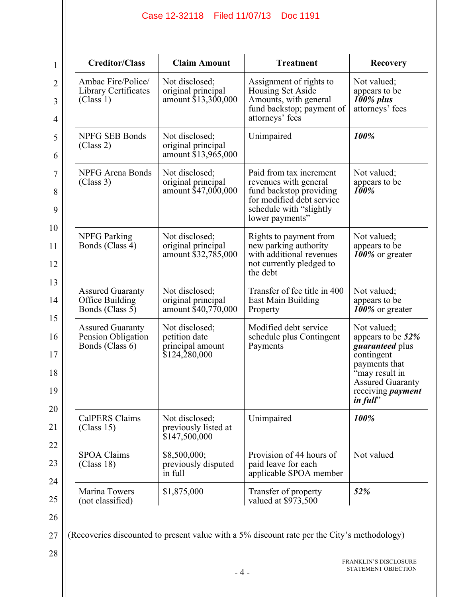| 1                                | <b>Creditor/Class</b>                                            | <b>Claim Amount</b>                                                  | <b>Treatment</b>                                                                                                                                       | <b>Recovery</b>                                                                                                                                                         |
|----------------------------------|------------------------------------------------------------------|----------------------------------------------------------------------|--------------------------------------------------------------------------------------------------------------------------------------------------------|-------------------------------------------------------------------------------------------------------------------------------------------------------------------------|
| $\overline{2}$<br>3              | Ambac Fire/Police/<br>Library Certificates<br>(Class 1)          | Not disclosed;<br>original principal<br>amount \$13,300,000          | Assignment of rights to<br>Housing Set Aside<br>Amounts, with general<br>fund backstop; payment of                                                     | Not valued;<br>appears to be<br>100% plus<br>attorneys' fees                                                                                                            |
| $\overline{4}$                   |                                                                  |                                                                      | attorneys' fees                                                                                                                                        |                                                                                                                                                                         |
| 5<br>6                           | <b>NPFG SEB Bonds</b><br>(Class 2)                               | Not disclosed:<br>original principal<br>amount \$13,965,000          | Unimpaired                                                                                                                                             | 100%                                                                                                                                                                    |
| $\overline{7}$<br>8<br>9         | NPFG Arena Bonds<br>(Class 3)                                    | Not disclosed;<br>original principal<br>amount \$47,000,000          | Paid from tax increment<br>revenues with general<br>fund backstop providing<br>for modified debt service<br>schedule with "slightly<br>lower payments" | Not valued;<br>appears to be<br>100%                                                                                                                                    |
| 10<br>11<br>12<br>13             | <b>NPFG</b> Parking<br>Bonds (Class 4)                           | Not disclosed;<br>original principal<br>amount \$32,785,000          | Rights to payment from<br>new parking authority<br>with additional revenues<br>not currently pledged to<br>the debt                                    | Not valued;<br>appears to be<br>100% or greater                                                                                                                         |
| 14                               | <b>Assured Guaranty</b><br>Office Building<br>Bonds (Class 5)    | Not disclosed;<br>original principal<br>amount \$40,770,000          | Transfer of fee title in 400<br>East Main Building<br>Property                                                                                         | Not valued;<br>appears to be<br>100% or greater                                                                                                                         |
| 15<br>16<br>17<br>18<br>19<br>20 | <b>Assured Guaranty</b><br>Pension Obligation<br>Bonds (Class 6) | Not disclosed;<br>petition date<br>principal amount<br>\$124,280,000 | Modified debt service<br>schedule plus Contingent<br>Payments                                                                                          | Not valued;<br>appears to be 52%<br>guaranteed plus<br>contingent<br>payments that<br>"may result in<br><b>Assured Guaranty</b><br>receiving <i>payment</i><br>in full" |
| 21                               | <b>CalPERS Claims</b><br>(Class 15)                              | Not disclosed;<br>previously listed at<br>\$147,500,000              | Unimpaired                                                                                                                                             | 100%                                                                                                                                                                    |
| 22<br>23                         | <b>SPOA Claims</b><br>(Class 18)                                 | \$8,500,000;<br>previously disputed<br>in full                       | Provision of 44 hours of<br>paid leave for each<br>applicable SPOA member                                                                              | Not valued                                                                                                                                                              |
| 24                               | Marina Towers<br>(not classified)                                | \$1,875,000                                                          | Transfer of property<br>valued at \$973,500                                                                                                            | 52%                                                                                                                                                                     |

26

27 (Recoveries discounted to present value with a 5% discount rate per the City's methodology)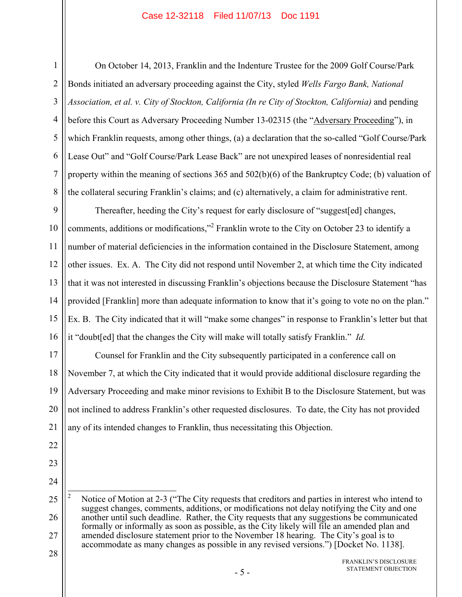1

2

3

4

5

7

8

On October 14, 2013, Franklin and the Indenture Trustee for the 2009 Golf Course/Park Bonds initiated an adversary proceeding against the City, styled *Wells Fargo Bank, National Association, et al. v. City of Stockton, California (In re City of Stockton, California)* and pending before this Court as Adversary Proceeding Number 13-02315 (the "Adversary Proceeding"), in which Franklin requests, among other things, (a) a declaration that the so-called "Golf Course/Park Lease Out" and "Golf Course/Park Lease Back" are not unexpired leases of nonresidential real property within the meaning of sections 365 and 502(b)(6) of the Bankruptcy Code; (b) valuation of the collateral securing Franklin's claims; and (c) alternatively, a claim for administrative rent.

9 10 11 12 13 14 15 16 Thereafter, heeding the City's request for early disclosure of "suggest[ed] changes, comments, additions or modifications,"<sup>2</sup> Franklin wrote to the City on October 23 to identify a number of material deficiencies in the information contained in the Disclosure Statement, among other issues. Ex. A. The City did not respond until November 2, at which time the City indicated that it was not interested in discussing Franklin's objections because the Disclosure Statement "has provided [Franklin] more than adequate information to know that it's going to vote no on the plan." Ex. B. The City indicated that it will "make some changes" in response to Franklin's letter but that it "doubt[ed] that the changes the City will make will totally satisfy Franklin." *Id.*

17 18 19 20 21 Counsel for Franklin and the City subsequently participated in a conference call on November 7, at which the City indicated that it would provide additional disclosure regarding the Adversary Proceeding and make minor revisions to Exhibit B to the Disclosure Statement, but was not inclined to address Franklin's other requested disclosures. To date, the City has not provided any of its intended changes to Franklin, thus necessitating this Objection.

- 22
- 23
- 24

25

26 27 28  $\frac{1}{2}$  Notice of Motion at 2-3 ("The City requests that creditors and parties in interest who intend to suggest changes, comments, additions, or modifications not delay notifying the City and one another until such deadline. Rather, the City requests that any suggestions be communicated formally or informally as soon as possible, as the City likely will file an amended plan and amended disclosure statement prior to the November 18 hearing. The City's goal is to accommodate as many changes as possible in any revised versions.") [Docket No. 1138].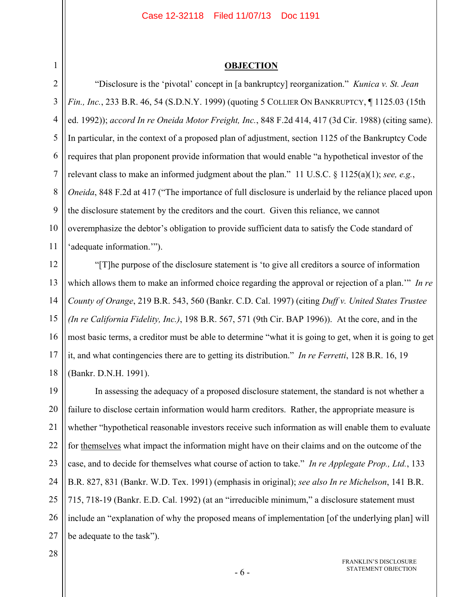## **OBJECTION**

2 3 4 5 6 7 8 9 10 11 12 "Disclosure is the 'pivotal' concept in [a bankruptcy] reorganization." *Kunica v. St. Jean Fin., Inc.*, 233 B.R. 46, 54 (S.D.N.Y. 1999) (quoting 5 COLLIER ON BANKRUPTCY, ¶ 1125.03 (15th ed. 1992)); *accord In re Oneida Motor Freight, Inc.*, 848 F.2d 414, 417 (3d Cir. 1988) (citing same). In particular, in the context of a proposed plan of adjustment, section 1125 of the Bankruptcy Code requires that plan proponent provide information that would enable "a hypothetical investor of the relevant class to make an informed judgment about the plan." 11 U.S.C. § 1125(a)(1); *see, e.g.*, *Oneida*, 848 F.2d at 417 ("The importance of full disclosure is underlaid by the reliance placed upon the disclosure statement by the creditors and the court. Given this reliance, we cannot overemphasize the debtor's obligation to provide sufficient data to satisfy the Code standard of 'adequate information.'"). "[T]he purpose of the disclosure statement is 'to give all creditors a source of information which allows them to make an informed choice regarding the approval or rejection of a plan.'" *In re* 

13 14 15 16 17 18 *County of Orange*, 219 B.R. 543, 560 (Bankr. C.D. Cal. 1997) (citing *Duff v. United States Trustee (In re California Fidelity, Inc.)*, 198 B.R. 567, 571 (9th Cir. BAP 1996)). At the core, and in the most basic terms, a creditor must be able to determine "what it is going to get, when it is going to get it, and what contingencies there are to getting its distribution." *In re Ferretti*, 128 B.R. 16, 19 (Bankr. D.N.H. 1991).

19 20 21 22 23 24 25 26 27 In assessing the adequacy of a proposed disclosure statement, the standard is not whether a failure to disclose certain information would harm creditors. Rather, the appropriate measure is whether "hypothetical reasonable investors receive such information as will enable them to evaluate for themselves what impact the information might have on their claims and on the outcome of the case, and to decide for themselves what course of action to take." *In re Applegate Prop., Ltd.*, 133 B.R. 827, 831 (Bankr. W.D. Tex. 1991) (emphasis in original); *see also In re Michelson*, 141 B.R. 715, 718-19 (Bankr. E.D. Cal. 1992) (at an "irreducible minimum," a disclosure statement must include an "explanation of why the proposed means of implementation [of the underlying plan] will be adequate to the task").

28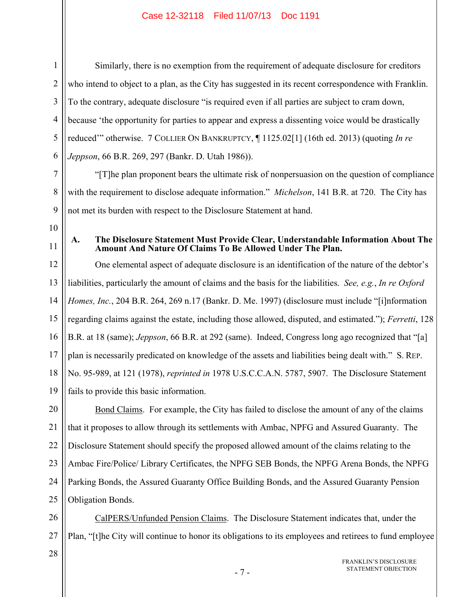1 2 3 4 5 6 Similarly, there is no exemption from the requirement of adequate disclosure for creditors who intend to object to a plan, as the City has suggested in its recent correspondence with Franklin. To the contrary, adequate disclosure "is required even if all parties are subject to cram down, because 'the opportunity for parties to appear and express a dissenting voice would be drastically reduced'" otherwise. 7 COLLIER ON BANKRUPTCY, ¶ 1125.02[1] (16th ed. 2013) (quoting *In re Jeppson*, 66 B.R. 269, 297 (Bankr. D. Utah 1986)).

"[T]he plan proponent bears the ultimate risk of nonpersuasion on the question of compliance with the requirement to disclose adequate information." *Michelson*, 141 B.R. at 720. The City has not met its burden with respect to the Disclosure Statement at hand.

10

7

8

9

11

# **A. The Disclosure Statement Must Provide Clear, Understandable Information About The Amount And Nature Of Claims To Be Allowed Under The Plan.**

12 13 14 15 16 17 18 19 One elemental aspect of adequate disclosure is an identification of the nature of the debtor's liabilities, particularly the amount of claims and the basis for the liabilities. *See, e.g.*, *In re Oxford Homes, Inc.*, 204 B.R. 264, 269 n.17 (Bankr. D. Me. 1997) (disclosure must include "[i]nformation regarding claims against the estate, including those allowed, disputed, and estimated."); *Ferretti*, 128 B.R. at 18 (same); *Jeppson*, 66 B.R. at 292 (same). Indeed, Congress long ago recognized that "[a] plan is necessarily predicated on knowledge of the assets and liabilities being dealt with." S. REP. No. 95-989, at 121 (1978), *reprinted in* 1978 U.S.C.C.A.N. 5787, 5907. The Disclosure Statement fails to provide this basic information.

20 21 22 23 24 25 Bond Claims. For example, the City has failed to disclose the amount of any of the claims that it proposes to allow through its settlements with Ambac, NPFG and Assured Guaranty. The Disclosure Statement should specify the proposed allowed amount of the claims relating to the Ambac Fire/Police/ Library Certificates, the NPFG SEB Bonds, the NPFG Arena Bonds, the NPFG Parking Bonds, the Assured Guaranty Office Building Bonds, and the Assured Guaranty Pension Obligation Bonds.

26 27 CalPERS/Unfunded Pension Claims. The Disclosure Statement indicates that, under the Plan, "[t]he City will continue to honor its obligations to its employees and retirees to fund employee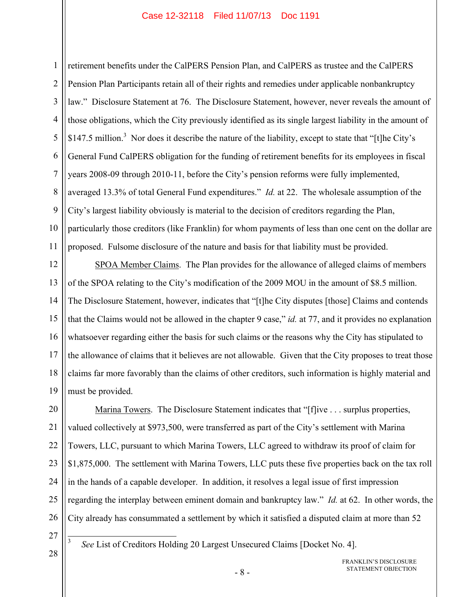1 2 3 4 5 6 7 8 9 10 11 retirement benefits under the CalPERS Pension Plan, and CalPERS as trustee and the CalPERS Pension Plan Participants retain all of their rights and remedies under applicable nonbankruptcy law." Disclosure Statement at 76. The Disclosure Statement, however, never reveals the amount of those obligations, which the City previously identified as its single largest liability in the amount of \$147.5 million.<sup>3</sup> Nor does it describe the nature of the liability, except to state that "[t]he City's General Fund CalPERS obligation for the funding of retirement benefits for its employees in fiscal years 2008-09 through 2010-11, before the City's pension reforms were fully implemented, averaged 13.3% of total General Fund expenditures." *Id.* at 22. The wholesale assumption of the City's largest liability obviously is material to the decision of creditors regarding the Plan, particularly those creditors (like Franklin) for whom payments of less than one cent on the dollar are proposed. Fulsome disclosure of the nature and basis for that liability must be provided.

12 13 14 15 16 17 18 19 SPOA Member Claims. The Plan provides for the allowance of alleged claims of members of the SPOA relating to the City's modification of the 2009 MOU in the amount of \$8.5 million. The Disclosure Statement, however, indicates that "[t]he City disputes [those] Claims and contends that the Claims would not be allowed in the chapter 9 case," *id.* at 77, and it provides no explanation whatsoever regarding either the basis for such claims or the reasons why the City has stipulated to the allowance of claims that it believes are not allowable. Given that the City proposes to treat those claims far more favorably than the claims of other creditors, such information is highly material and must be provided.

20 21 22 23 24 25 26 Marina Towers. The Disclosure Statement indicates that "[f]ive . . . surplus properties, valued collectively at \$973,500, were transferred as part of the City's settlement with Marina Towers, LLC, pursuant to which Marina Towers, LLC agreed to withdraw its proof of claim for \$1,875,000. The settlement with Marina Towers, LLC puts these five properties back on the tax roll in the hands of a capable developer. In addition, it resolves a legal issue of first impression regarding the interplay between eminent domain and bankruptcy law." *Id.* at 62. In other words, the City already has consummated a settlement by which it satisfied a disputed claim at more than 52

27

 $\overline{\phantom{a}}$ 3

28

*See* List of Creditors Holding 20 Largest Unsecured Claims [Docket No. 4].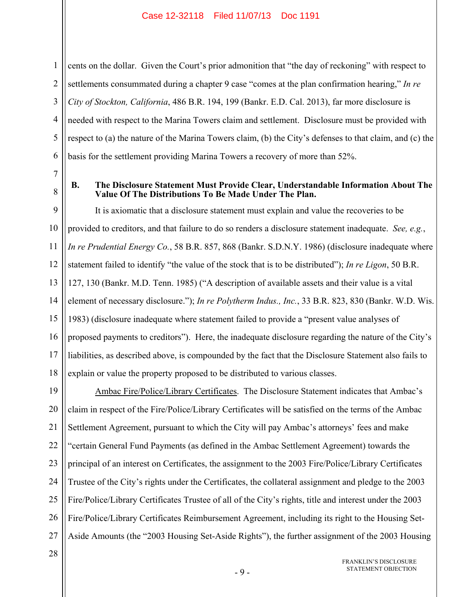1

2

3

4

5

6

7

8

cents on the dollar. Given the Court's prior admonition that "the day of reckoning" with respect to settlements consummated during a chapter 9 case "comes at the plan confirmation hearing," *In re City of Stockton, California*, 486 B.R. 194, 199 (Bankr. E.D. Cal. 2013), far more disclosure is needed with respect to the Marina Towers claim and settlement. Disclosure must be provided with respect to (a) the nature of the Marina Towers claim, (b) the City's defenses to that claim, and (c) the basis for the settlement providing Marina Towers a recovery of more than 52%.

**B. The Disclosure Statement Must Provide Clear, Understandable Information About The Value Of The Distributions To Be Made Under The Plan.** 

9 10 11 12 13 14 15 16 17 18 It is axiomatic that a disclosure statement must explain and value the recoveries to be provided to creditors, and that failure to do so renders a disclosure statement inadequate. *See, e.g.*, *In re Prudential Energy Co.*, 58 B.R. 857, 868 (Bankr. S.D.N.Y. 1986) (disclosure inadequate where statement failed to identify "the value of the stock that is to be distributed"); *In re Ligon*, 50 B.R. 127, 130 (Bankr. M.D. Tenn. 1985) ("A description of available assets and their value is a vital element of necessary disclosure."); *In re Polytherm Indus., Inc.*, 33 B.R. 823, 830 (Bankr. W.D. Wis. 1983) (disclosure inadequate where statement failed to provide a "present value analyses of proposed payments to creditors"). Here, the inadequate disclosure regarding the nature of the City's liabilities, as described above, is compounded by the fact that the Disclosure Statement also fails to explain or value the property proposed to be distributed to various classes.

19 20 21 22 23 24 25 26 27 Ambac Fire/Police/Library Certificates. The Disclosure Statement indicates that Ambac's claim in respect of the Fire/Police/Library Certificates will be satisfied on the terms of the Ambac Settlement Agreement, pursuant to which the City will pay Ambac's attorneys' fees and make "certain General Fund Payments (as defined in the Ambac Settlement Agreement) towards the principal of an interest on Certificates, the assignment to the 2003 Fire/Police/Library Certificates Trustee of the City's rights under the Certificates, the collateral assignment and pledge to the 2003 Fire/Police/Library Certificates Trustee of all of the City's rights, title and interest under the 2003 Fire/Police/Library Certificates Reimbursement Agreement, including its right to the Housing Set-Aside Amounts (the "2003 Housing Set-Aside Rights"), the further assignment of the 2003 Housing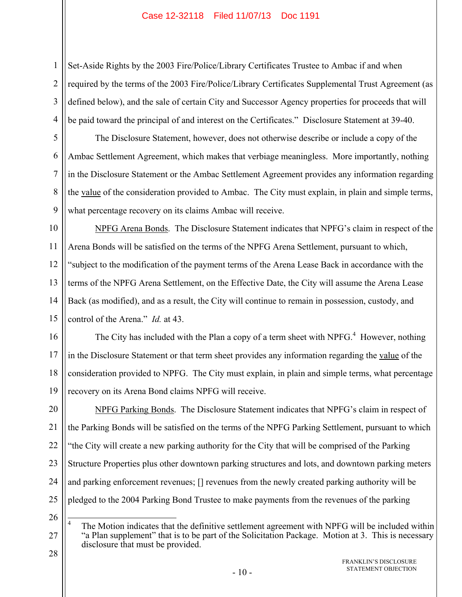Set-Aside Rights by the 2003 Fire/Police/Library Certificates Trustee to Ambac if and when required by the terms of the 2003 Fire/Police/Library Certificates Supplemental Trust Agreement (as defined below), and the sale of certain City and Successor Agency properties for proceeds that will be paid toward the principal of and interest on the Certificates." Disclosure Statement at 39-40.

The Disclosure Statement, however, does not otherwise describe or include a copy of the Ambac Settlement Agreement, which makes that verbiage meaningless. More importantly, nothing in the Disclosure Statement or the Ambac Settlement Agreement provides any information regarding the value of the consideration provided to Ambac. The City must explain, in plain and simple terms, what percentage recovery on its claims Ambac will receive.

10 11 12 13 14 15 NPFG Arena Bonds. The Disclosure Statement indicates that NPFG's claim in respect of the Arena Bonds will be satisfied on the terms of the NPFG Arena Settlement, pursuant to which, "subject to the modification of the payment terms of the Arena Lease Back in accordance with the terms of the NPFG Arena Settlement, on the Effective Date, the City will assume the Arena Lease Back (as modified), and as a result, the City will continue to remain in possession, custody, and control of the Arena." *Id.* at 43.

16 17 18 19 The City has included with the Plan a copy of a term sheet with NPFG. $4$  However, nothing in the Disclosure Statement or that term sheet provides any information regarding the value of the consideration provided to NPFG. The City must explain, in plain and simple terms, what percentage recovery on its Arena Bond claims NPFG will receive.

20 21 22 23 24 25 NPFG Parking Bonds. The Disclosure Statement indicates that NPFG's claim in respect of the Parking Bonds will be satisfied on the terms of the NPFG Parking Settlement, pursuant to which "the City will create a new parking authority for the City that will be comprised of the Parking Structure Properties plus other downtown parking structures and lots, and downtown parking meters and parking enforcement revenues; [] revenues from the newly created parking authority will be pledged to the 2004 Parking Bond Trustee to make payments from the revenues of the parking

26

1

2

3

4

5

6

7

8

9

<sup>27</sup> 28 4 The Motion indicates that the definitive settlement agreement with NPFG will be included within "a Plan supplement" that is to be part of the Solicitation Package. Motion at 3. This is necessary disclosure that must be provided.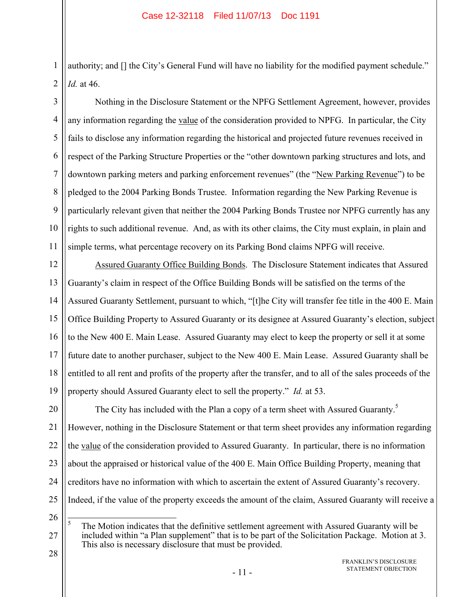authority; and [] the City's General Fund will have no liability for the modified payment schedule." *Id.* at 46.

3 4 5 6 7 8 9 10 11 Nothing in the Disclosure Statement or the NPFG Settlement Agreement, however, provides any information regarding the value of the consideration provided to NPFG. In particular, the City fails to disclose any information regarding the historical and projected future revenues received in respect of the Parking Structure Properties or the "other downtown parking structures and lots, and downtown parking meters and parking enforcement revenues" (the "New Parking Revenue") to be pledged to the 2004 Parking Bonds Trustee. Information regarding the New Parking Revenue is particularly relevant given that neither the 2004 Parking Bonds Trustee nor NPFG currently has any rights to such additional revenue. And, as with its other claims, the City must explain, in plain and simple terms, what percentage recovery on its Parking Bond claims NPFG will receive.

12 13 14 15 16 17 18 19 Assured Guaranty Office Building Bonds. The Disclosure Statement indicates that Assured Guaranty's claim in respect of the Office Building Bonds will be satisfied on the terms of the Assured Guaranty Settlement, pursuant to which, "[t]he City will transfer fee title in the 400 E. Main Office Building Property to Assured Guaranty or its designee at Assured Guaranty's election, subject to the New 400 E. Main Lease. Assured Guaranty may elect to keep the property or sell it at some future date to another purchaser, subject to the New 400 E. Main Lease. Assured Guaranty shall be entitled to all rent and profits of the property after the transfer, and to all of the sales proceeds of the property should Assured Guaranty elect to sell the property." *Id.* at 53.

20 21 22 23 24 25 The City has included with the Plan a copy of a term sheet with Assured Guaranty.<sup>5</sup> However, nothing in the Disclosure Statement or that term sheet provides any information regarding the value of the consideration provided to Assured Guaranty. In particular, there is no information about the appraised or historical value of the 400 E. Main Office Building Property, meaning that creditors have no information with which to ascertain the extent of Assured Guaranty's recovery. Indeed, if the value of the property exceeds the amount of the claim, Assured Guaranty will receive a

26

27

1

2

 $\frac{1}{5}$  The Motion indicates that the definitive settlement agreement with Assured Guaranty will be included within "a Plan supplement" that is to be part of the Solicitation Package. Motion at 3. This also is necessary disclosure that must be provided.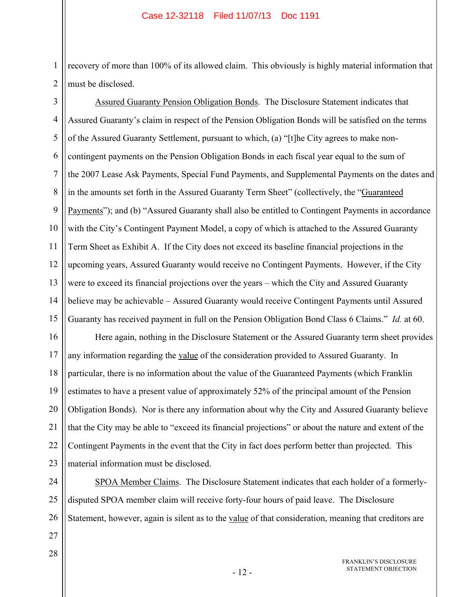1 2 recovery of more than 100% of its allowed claim. This obviously is highly material information that must be disclosed.

3 4 5 6 7 8 9 10 11 12 13 14 15 Assured Guaranty Pension Obligation Bonds. The Disclosure Statement indicates that Assured Guaranty's claim in respect of the Pension Obligation Bonds will be satisfied on the terms of the Assured Guaranty Settlement, pursuant to which, (a) "[t]he City agrees to make noncontingent payments on the Pension Obligation Bonds in each fiscal year equal to the sum of the 2007 Lease Ask Payments, Special Fund Payments, and Supplemental Payments on the dates and in the amounts set forth in the Assured Guaranty Term Sheet" (collectively, the "Guaranteed Payments"); and (b) "Assured Guaranty shall also be entitled to Contingent Payments in accordance with the City's Contingent Payment Model, a copy of which is attached to the Assured Guaranty Term Sheet as Exhibit A. If the City does not exceed its baseline financial projections in the upcoming years, Assured Guaranty would receive no Contingent Payments. However, if the City were to exceed its financial projections over the years – which the City and Assured Guaranty believe may be achievable – Assured Guaranty would receive Contingent Payments until Assured Guaranty has received payment in full on the Pension Obligation Bond Class 6 Claims." *Id.* at 60.

16 17 18 19 20 21 22 23 Here again, nothing in the Disclosure Statement or the Assured Guaranty term sheet provides any information regarding the value of the consideration provided to Assured Guaranty. In particular, there is no information about the value of the Guaranteed Payments (which Franklin estimates to have a present value of approximately 52% of the principal amount of the Pension Obligation Bonds). Nor is there any information about why the City and Assured Guaranty believe that the City may be able to "exceed its financial projections" or about the nature and extent of the Contingent Payments in the event that the City in fact does perform better than projected. This material information must be disclosed.

24 25 26 SPOA Member Claims. The Disclosure Statement indicates that each holder of a formerlydisputed SPOA member claim will receive forty-four hours of paid leave. The Disclosure Statement, however, again is silent as to the value of that consideration, meaning that creditors are

27 28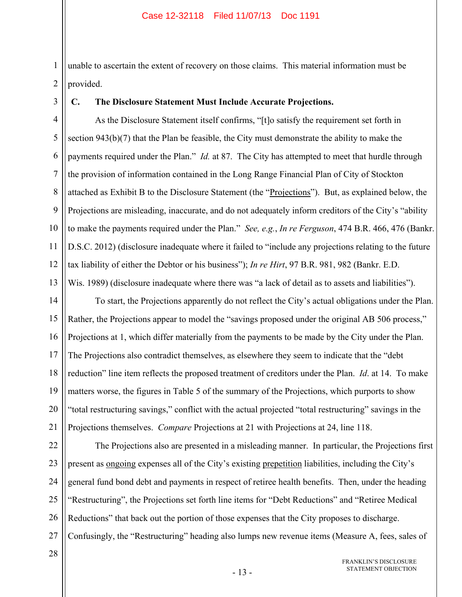1 2 unable to ascertain the extent of recovery on those claims. This material information must be provided.

# **C. The Disclosure Statement Must Include Accurate Projections.**

4 5 6 7 8 9 10 11 12 13 As the Disclosure Statement itself confirms, "[t]o satisfy the requirement set forth in section 943(b)(7) that the Plan be feasible, the City must demonstrate the ability to make the payments required under the Plan." *Id.* at 87. The City has attempted to meet that hurdle through the provision of information contained in the Long Range Financial Plan of City of Stockton attached as Exhibit B to the Disclosure Statement (the "Projections"). But, as explained below, the Projections are misleading, inaccurate, and do not adequately inform creditors of the City's "ability to make the payments required under the Plan." *See, e.g.*, *In re Ferguson*, 474 B.R. 466, 476 (Bankr. D.S.C. 2012) (disclosure inadequate where it failed to "include any projections relating to the future tax liability of either the Debtor or his business"); *In re Hirt*, 97 B.R. 981, 982 (Bankr. E.D. Wis. 1989) (disclosure inadequate where there was "a lack of detail as to assets and liabilities").

14 15 16 17 18 19 20 21 To start, the Projections apparently do not reflect the City's actual obligations under the Plan. Rather, the Projections appear to model the "savings proposed under the original AB 506 process," Projections at 1, which differ materially from the payments to be made by the City under the Plan. The Projections also contradict themselves, as elsewhere they seem to indicate that the "debt reduction" line item reflects the proposed treatment of creditors under the Plan. *Id*. at 14. To make matters worse, the figures in Table 5 of the summary of the Projections, which purports to show "total restructuring savings," conflict with the actual projected "total restructuring" savings in the Projections themselves. *Compare* Projections at 21 with Projections at 24, line 118.

22 23 24 25 26 27 The Projections also are presented in a misleading manner. In particular, the Projections first present as ongoing expenses all of the City's existing prepetition liabilities, including the City's general fund bond debt and payments in respect of retiree health benefits. Then, under the heading "Restructuring", the Projections set forth line items for "Debt Reductions" and "Retiree Medical Reductions" that back out the portion of those expenses that the City proposes to discharge. Confusingly, the "Restructuring" heading also lumps new revenue items (Measure A, fees, sales of

28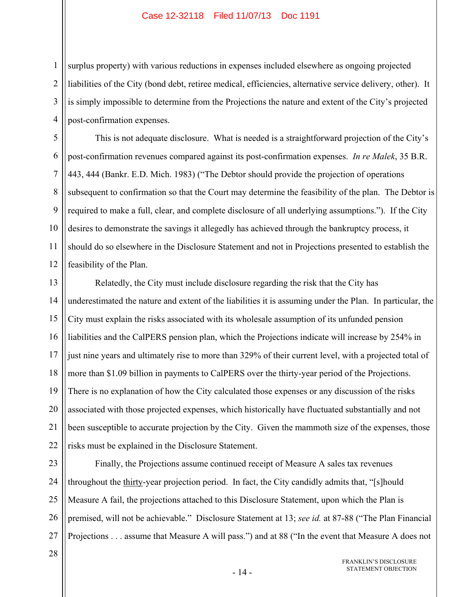surplus property) with various reductions in expenses included elsewhere as ongoing projected liabilities of the City (bond debt, retiree medical, efficiencies, alternative service delivery, other). It is simply impossible to determine from the Projections the nature and extent of the City's projected post-confirmation expenses.

This is not adequate disclosure. What is needed is a straightforward projection of the City's post-confirmation revenues compared against its post-confirmation expenses. *In re Malek*, 35 B.R. 443, 444 (Bankr. E.D. Mich. 1983) ("The Debtor should provide the projection of operations subsequent to confirmation so that the Court may determine the feasibility of the plan. The Debtor is required to make a full, clear, and complete disclosure of all underlying assumptions."). If the City desires to demonstrate the savings it allegedly has achieved through the bankruptcy process, it should do so elsewhere in the Disclosure Statement and not in Projections presented to establish the feasibility of the Plan.

13 14 15 16 17 18 19 20 21 22 Relatedly, the City must include disclosure regarding the risk that the City has underestimated the nature and extent of the liabilities it is assuming under the Plan. In particular, the City must explain the risks associated with its wholesale assumption of its unfunded pension liabilities and the CalPERS pension plan, which the Projections indicate will increase by 254% in just nine years and ultimately rise to more than 329% of their current level, with a projected total of more than \$1.09 billion in payments to CalPERS over the thirty-year period of the Projections. There is no explanation of how the City calculated those expenses or any discussion of the risks associated with those projected expenses, which historically have fluctuated substantially and not been susceptible to accurate projection by the City. Given the mammoth size of the expenses, those risks must be explained in the Disclosure Statement.

23 24 25 26 27 Finally, the Projections assume continued receipt of Measure A sales tax revenues throughout the thirty-year projection period. In fact, the City candidly admits that, "[s]hould Measure A fail, the projections attached to this Disclosure Statement, upon which the Plan is premised, will not be achievable." Disclosure Statement at 13; *see id.* at 87-88 ("The Plan Financial Projections . . . assume that Measure A will pass.") and at 88 ("In the event that Measure A does not

28

1

2

3

4

5

6

7

8

9

10

11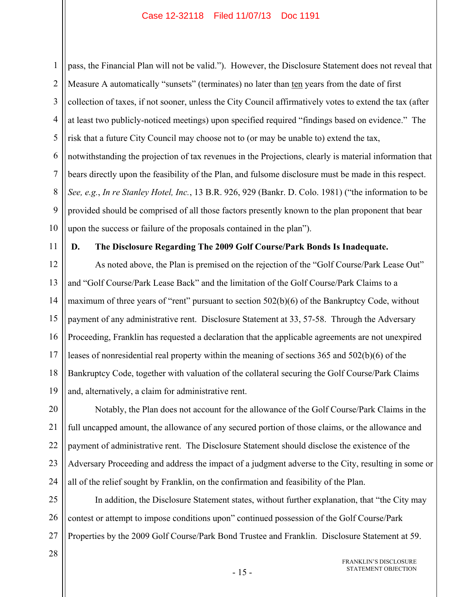1 2 3 4 5 6 7 8 9 10 pass, the Financial Plan will not be valid."). However, the Disclosure Statement does not reveal that Measure A automatically "sunsets" (terminates) no later than ten years from the date of first collection of taxes, if not sooner, unless the City Council affirmatively votes to extend the tax (after at least two publicly-noticed meetings) upon specified required "findings based on evidence." The risk that a future City Council may choose not to (or may be unable to) extend the tax, notwithstanding the projection of tax revenues in the Projections, clearly is material information that bears directly upon the feasibility of the Plan, and fulsome disclosure must be made in this respect. *See, e.g.*, *In re Stanley Hotel, Inc.*, 13 B.R. 926, 929 (Bankr. D. Colo. 1981) ("the information to be provided should be comprised of all those factors presently known to the plan proponent that bear upon the success or failure of the proposals contained in the plan").

11

## **D. The Disclosure Regarding The 2009 Golf Course/Park Bonds Is Inadequate.**

12 13 14 15 16 17 18 19 As noted above, the Plan is premised on the rejection of the "Golf Course/Park Lease Out" and "Golf Course/Park Lease Back" and the limitation of the Golf Course/Park Claims to a maximum of three years of "rent" pursuant to section 502(b)(6) of the Bankruptcy Code, without payment of any administrative rent. Disclosure Statement at 33, 57-58. Through the Adversary Proceeding, Franklin has requested a declaration that the applicable agreements are not unexpired leases of nonresidential real property within the meaning of sections 365 and 502(b)(6) of the Bankruptcy Code, together with valuation of the collateral securing the Golf Course/Park Claims and, alternatively, a claim for administrative rent.

20 21 22 23 24 Notably, the Plan does not account for the allowance of the Golf Course/Park Claims in the full uncapped amount, the allowance of any secured portion of those claims, or the allowance and payment of administrative rent. The Disclosure Statement should disclose the existence of the Adversary Proceeding and address the impact of a judgment adverse to the City, resulting in some or all of the relief sought by Franklin, on the confirmation and feasibility of the Plan.

25 26 27 In addition, the Disclosure Statement states, without further explanation, that "the City may contest or attempt to impose conditions upon" continued possession of the Golf Course/Park Properties by the 2009 Golf Course/Park Bond Trustee and Franklin. Disclosure Statement at 59.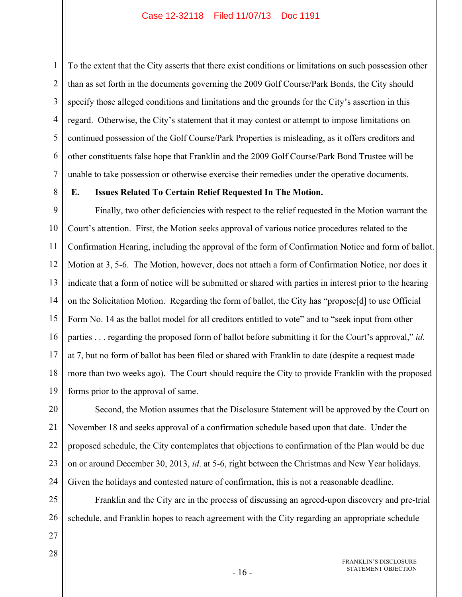1 2 3 4 5 6 7 To the extent that the City asserts that there exist conditions or limitations on such possession other than as set forth in the documents governing the 2009 Golf Course/Park Bonds, the City should specify those alleged conditions and limitations and the grounds for the City's assertion in this regard. Otherwise, the City's statement that it may contest or attempt to impose limitations on continued possession of the Golf Course/Park Properties is misleading, as it offers creditors and other constituents false hope that Franklin and the 2009 Golf Course/Park Bond Trustee will be unable to take possession or otherwise exercise their remedies under the operative documents.

8

# **E. Issues Related To Certain Relief Requested In The Motion.**

9 10 11 12 13 14 15 16 17 18 19 Finally, two other deficiencies with respect to the relief requested in the Motion warrant the Court's attention. First, the Motion seeks approval of various notice procedures related to the Confirmation Hearing, including the approval of the form of Confirmation Notice and form of ballot. Motion at 3, 5-6. The Motion, however, does not attach a form of Confirmation Notice, nor does it indicate that a form of notice will be submitted or shared with parties in interest prior to the hearing on the Solicitation Motion. Regarding the form of ballot, the City has "propose[d] to use Official Form No. 14 as the ballot model for all creditors entitled to vote" and to "seek input from other parties . . . regarding the proposed form of ballot before submitting it for the Court's approval," *id*. at 7, but no form of ballot has been filed or shared with Franklin to date (despite a request made more than two weeks ago). The Court should require the City to provide Franklin with the proposed forms prior to the approval of same.

20 21 22 23 24 Second, the Motion assumes that the Disclosure Statement will be approved by the Court on November 18 and seeks approval of a confirmation schedule based upon that date. Under the proposed schedule, the City contemplates that objections to confirmation of the Plan would be due on or around December 30, 2013, *id*. at 5-6, right between the Christmas and New Year holidays. Given the holidays and contested nature of confirmation, this is not a reasonable deadline.

25 26 Franklin and the City are in the process of discussing an agreed-upon discovery and pre-trial schedule, and Franklin hopes to reach agreement with the City regarding an appropriate schedule

27 28